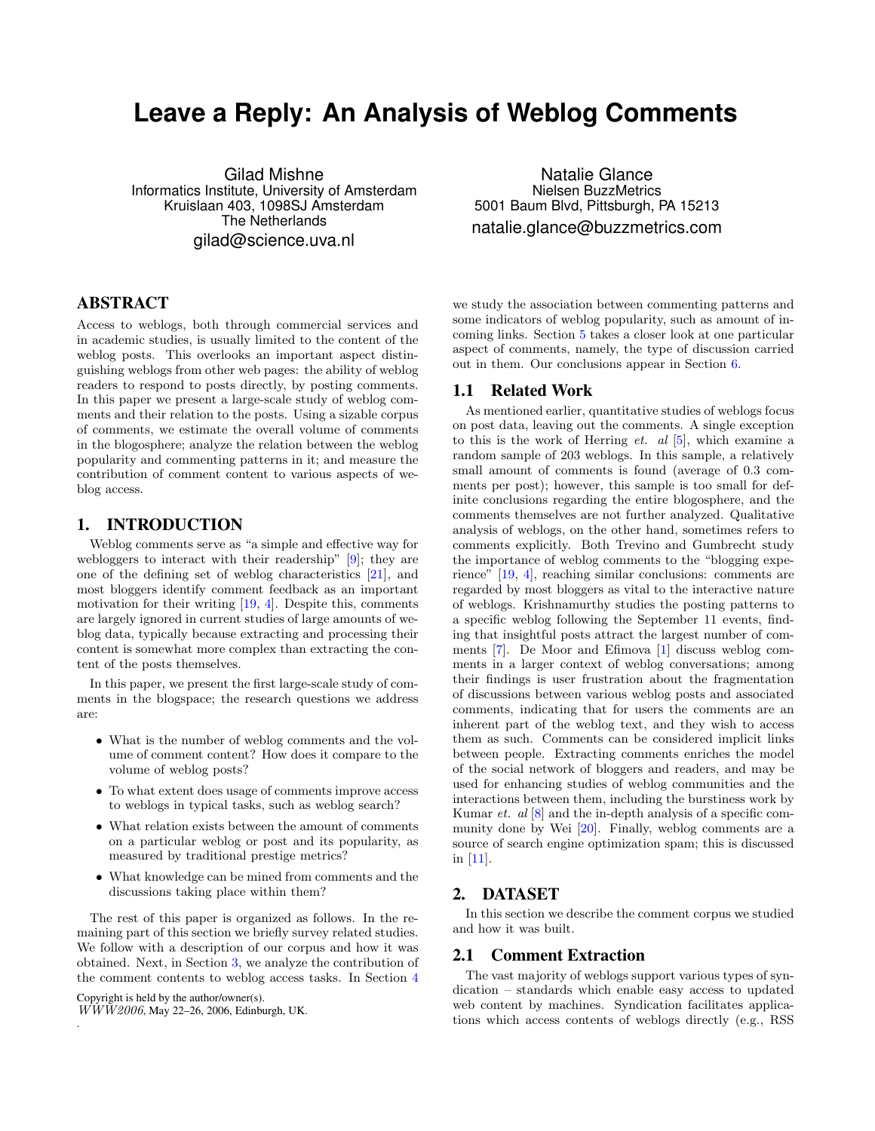# **Leave a Reply: An Analysis of Weblog Comments**

Gilad Mishne Informatics Institute, University of Amsterdam Kruislaan 403, 1098SJ Amsterdam The Netherlands gilad@science.uva.nl

# ABSTRACT

Access to weblogs, both through commercial services and in academic studies, is usually limited to the content of the weblog posts. This overlooks an important aspect distinguishing weblogs from other web pages: the ability of weblog readers to respond to posts directly, by posting comments. In this paper we present a large-scale study of weblog comments and their relation to the posts. Using a sizable corpus of comments, we estimate the overall volume of comments in the blogosphere; analyze the relation between the weblog popularity and commenting patterns in it; and measure the contribution of comment content to various aspects of weblog access.

# 1. INTRODUCTION

Weblog comments serve as "a simple and effective way for webloggers to interact with their readership" [\[9\]](#page-7-0); they are one of the defining set of weblog characteristics [\[21\]](#page-7-1), and most bloggers identify comment feedback as an important motivation for their writing [\[19,](#page-7-2) [4\]](#page-6-0). Despite this, comments are largely ignored in current studies of large amounts of weblog data, typically because extracting and processing their content is somewhat more complex than extracting the content of the posts themselves.

In this paper, we present the first large-scale study of comments in the blogspace; the research questions we address are:

- What is the number of weblog comments and the volume of comment content? How does it compare to the volume of weblog posts?
- To what extent does usage of comments improve access to weblogs in typical tasks, such as weblog search?
- What relation exists between the amount of comments on a particular weblog or post and its popularity, as measured by traditional prestige metrics?
- What knowledge can be mined from comments and the discussions taking place within them?

The rest of this paper is organized as follows. In the remaining part of this section we briefly survey related studies. We follow with a description of our corpus and how it was obtained. Next, in Section [3,](#page-2-0) we analyze the contribution of the comment contents to weblog access tasks. In Section [4](#page-3-0)

Copyright is held by the author/owner(s).

.

 $\overline{WWW2006}$ , May 22–26, 2006, Edinburgh, UK.

Natalie Glance Nielsen BuzzMetrics 5001 Baum Blvd, Pittsburgh, PA 15213 natalie.glance@buzzmetrics.com

we study the association between commenting patterns and some indicators of weblog popularity, such as amount of incoming links. Section [5](#page-4-0) takes a closer look at one particular aspect of comments, namely, the type of discussion carried out in them. Our conclusions appear in Section [6.](#page-6-1)

### 1.1 Related Work

As mentioned earlier, quantitative studies of weblogs focus on post data, leaving out the comments. A single exception to this is the work of Herring *et. al*  $[5]$ , which examine a random sample of 203 weblogs. In this sample, a relatively small amount of comments is found (average of 0.3 comments per post); however, this sample is too small for definite conclusions regarding the entire blogosphere, and the comments themselves are not further analyzed. Qualitative analysis of weblogs, on the other hand, sometimes refers to comments explicitly. Both Trevino and Gumbrecht study the importance of weblog comments to the "blogging experience" [\[19,](#page-7-2) [4\]](#page-6-0), reaching similar conclusions: comments are regarded by most bloggers as vital to the interactive nature of weblogs. Krishnamurthy studies the posting patterns to a specific weblog following the September 11 events, finding that insightful posts attract the largest number of comments [\[7\]](#page-7-4). De Moor and Efimova [\[1\]](#page-6-2) discuss weblog comments in a larger context of weblog conversations; among their findings is user frustration about the fragmentation of discussions between various weblog posts and associated comments, indicating that for users the comments are an inherent part of the weblog text, and they wish to access them as such. Comments can be considered implicit links between people. Extracting comments enriches the model of the social network of bloggers and readers, and may be used for enhancing studies of weblog communities and the interactions between them, including the burstiness work by Kumar et. al [\[8\]](#page-7-5) and the in-depth analysis of a specific community done by Wei [\[20\]](#page-7-6). Finally, weblog comments are a source of search engine optimization spam; this is discussed in [\[11\]](#page-7-7).

# <span id="page-0-0"></span>2. DATASET

In this section we describe the comment corpus we studied and how it was built.

#### 2.1 Comment Extraction

The vast majority of weblogs support various types of syndication – standards which enable easy access to updated web content by machines. Syndication facilitates applications which access contents of weblogs directly (e.g., RSS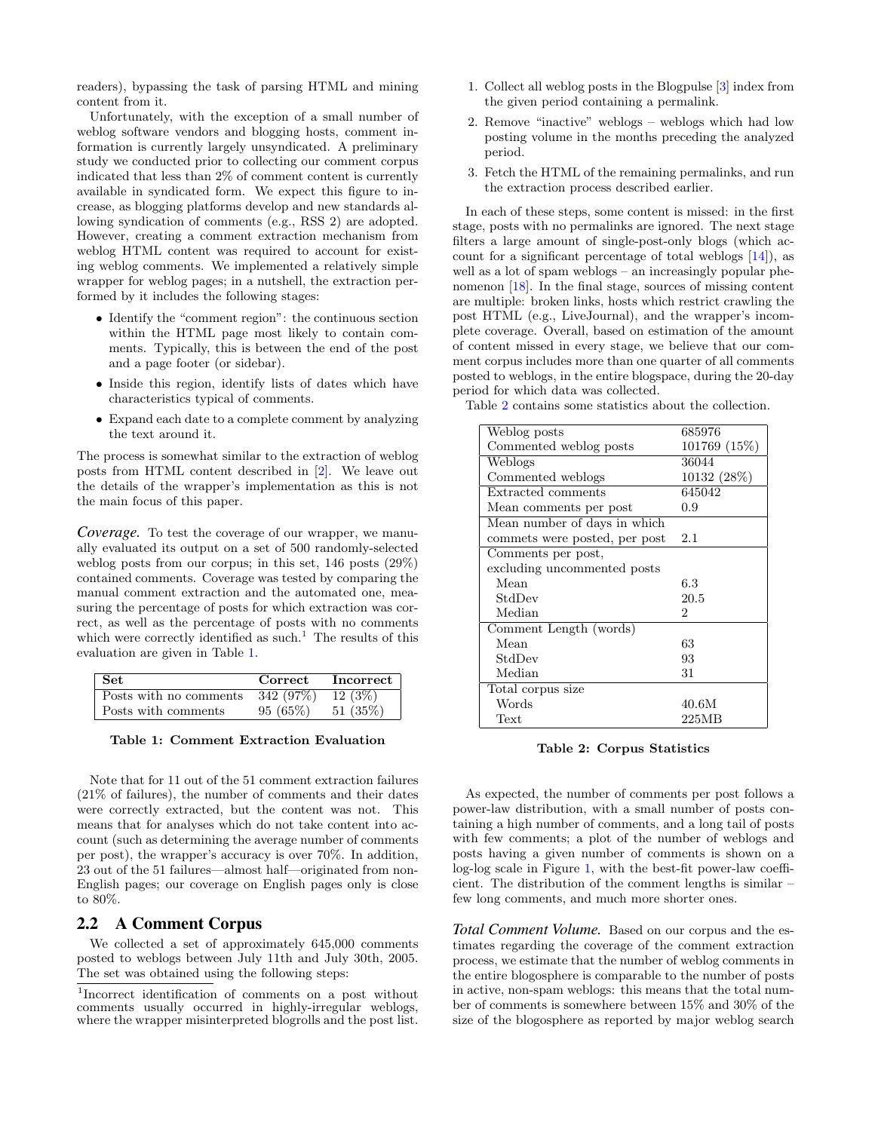readers), bypassing the task of parsing HTML and mining content from it.

Unfortunately, with the exception of a small number of weblog software vendors and blogging hosts, comment information is currently largely unsyndicated. A preliminary study we conducted prior to collecting our comment corpus indicated that less than 2% of comment content is currently available in syndicated form. We expect this figure to increase, as blogging platforms develop and new standards allowing syndication of comments (e.g., RSS 2) are adopted. However, creating a comment extraction mechanism from weblog HTML content was required to account for existing weblog comments. We implemented a relatively simple wrapper for weblog pages; in a nutshell, the extraction performed by it includes the following stages:

- Identify the "comment region": the continuous section within the HTML page most likely to contain comments. Typically, this is between the end of the post and a page footer (or sidebar).
- Inside this region, identify lists of dates which have characteristics typical of comments.
- Expand each date to a complete comment by analyzing the text around it.

The process is somewhat similar to the extraction of weblog posts from HTML content described in [\[2\]](#page-6-3). We leave out the details of the wrapper's implementation as this is not the main focus of this paper.

*Coverage.* To test the coverage of our wrapper, we manually evaluated its output on a set of 500 randomly-selected weblog posts from our corpus; in this set, 146 posts (29%) contained comments. Coverage was tested by comparing the manual comment extraction and the automated one, measuring the percentage of posts for which extraction was correct, as well as the percentage of posts with no comments which were correctly identified as such.<sup>[1](#page-1-0)</sup> The results of this evaluation are given in Table [1.](#page-1-1)

| Set.                   | Correct    | <b>Incorrect</b> |
|------------------------|------------|------------------|
| Posts with no comments | 342 (97\%) | $12(3\%)$        |
| Posts with comments    | 95(65%)    | 51(35%)          |

<span id="page-1-1"></span>Table 1: Comment Extraction Evaluation

Note that for 11 out of the 51 comment extraction failures (21% of failures), the number of comments and their dates were correctly extracted, but the content was not. This means that for analyses which do not take content into account (such as determining the average number of comments per post), the wrapper's accuracy is over 70%. In addition, 23 out of the 51 failures—almost half—originated from non-English pages; our coverage on English pages only is close to 80%.

### 2.2 A Comment Corpus

We collected a set of approximately 645,000 comments posted to weblogs between July 11th and July 30th, 2005. The set was obtained using the following steps:

- 1. Collect all weblog posts in the Blogpulse [\[3\]](#page-6-4) index from the given period containing a permalink.
- 2. Remove "inactive" weblogs weblogs which had low posting volume in the months preceding the analyzed period.
- 3. Fetch the HTML of the remaining permalinks, and run the extraction process described earlier.

In each of these steps, some content is missed: in the first stage, posts with no permalinks are ignored. The next stage filters a large amount of single-post-only blogs (which account for a significant percentage of total weblogs [\[14\]](#page-7-8)), as well as a lot of spam weblogs – an increasingly popular phenomenon [\[18\]](#page-7-9). In the final stage, sources of missing content are multiple: broken links, hosts which restrict crawling the post HTML (e.g., LiveJournal), and the wrapper's incomplete coverage. Overall, based on estimation of the amount of content missed in every stage, we believe that our comment corpus includes more than one quarter of all comments posted to weblogs, in the entire blogspace, during the 20-day period for which data was collected.

Table [2](#page-1-2) contains some statistics about the collection.

| Weblog posts                  | 685976       |
|-------------------------------|--------------|
| Commented weblog posts        | 101769 (15%) |
| Weblogs                       | 36044        |
| Commented weblogs             | 10132 (28\%) |
| Extracted comments            | 645042       |
| Mean comments per post        | 0.9          |
| Mean number of days in which  |              |
| commets were posted, per post | 2.1          |
| Comments per post,            |              |
| excluding uncommented posts   |              |
| Mean                          | 6.3          |
| StdDev                        | 20.5         |
| Median                        | 2            |
| Comment Length (words)        |              |
| Mean                          | 63           |
| StdDev                        | 93           |
| Median                        | 31           |
| Total corpus size             |              |
| Words                         | 40.6M        |
| Text                          | 225MB        |

<span id="page-1-2"></span>Table 2: Corpus Statistics

As expected, the number of comments per post follows a power-law distribution, with a small number of posts containing a high number of comments, and a long tail of posts with few comments; a plot of the number of weblogs and posts having a given number of comments is shown on a log-log scale in Figure [1,](#page-2-1) with the best-fit power-law coefficient. The distribution of the comment lengths is similar – few long comments, and much more shorter ones.

*Total Comment Volume.* Based on our corpus and the estimates regarding the coverage of the comment extraction process, we estimate that the number of weblog comments in the entire blogosphere is comparable to the number of posts in active, non-spam weblogs: this means that the total number of comments is somewhere between 15% and 30% of the size of the blogosphere as reported by major weblog search

<span id="page-1-0"></span><sup>1</sup> Incorrect identification of comments on a post without comments usually occurred in highly-irregular weblogs, where the wrapper misinterpreted blogrolls and the post list.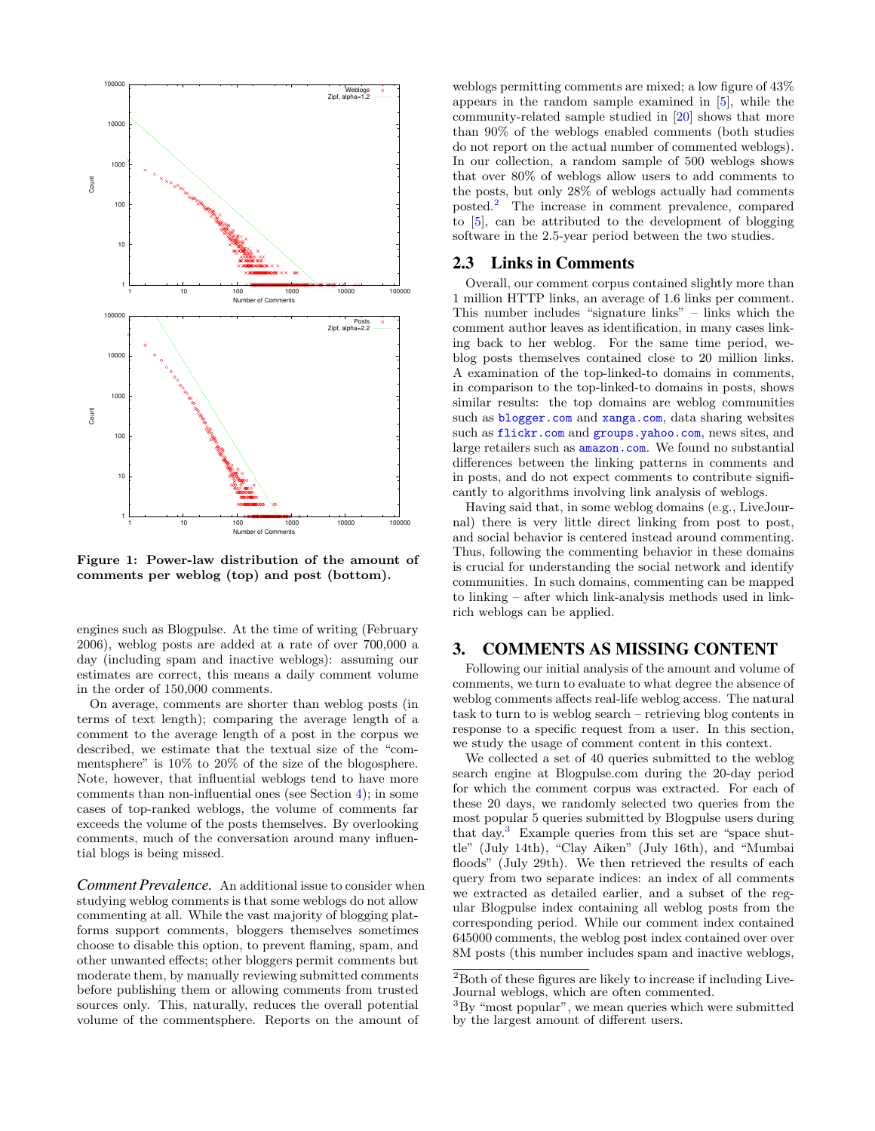

<span id="page-2-1"></span>Figure 1: Power-law distribution of the amount of comments per weblog (top) and post (bottom).

engines such as Blogpulse. At the time of writing (February 2006), weblog posts are added at a rate of over 700,000 a day (including spam and inactive weblogs): assuming our estimates are correct, this means a daily comment volume in the order of 150,000 comments.

On average, comments are shorter than weblog posts (in terms of text length); comparing the average length of a comment to the average length of a post in the corpus we described, we estimate that the textual size of the "commentsphere" is 10% to 20% of the size of the blogosphere. Note, however, that influential weblogs tend to have more comments than non-influential ones (see Section [4\)](#page-3-0); in some cases of top-ranked weblogs, the volume of comments far exceeds the volume of the posts themselves. By overlooking comments, much of the conversation around many influential blogs is being missed.

*Comment Prevalence.* An additional issue to consider when studying weblog comments is that some weblogs do not allow commenting at all. While the vast majority of blogging platforms support comments, bloggers themselves sometimes choose to disable this option, to prevent flaming, spam, and other unwanted effects; other bloggers permit comments but moderate them, by manually reviewing submitted comments before publishing them or allowing comments from trusted sources only. This, naturally, reduces the overall potential volume of the commentsphere. Reports on the amount of

weblogs permitting comments are mixed; a low figure of 43% appears in the random sample examined in [\[5\]](#page-7-3), while the community-related sample studied in [\[20\]](#page-7-6) shows that more than 90% of the weblogs enabled comments (both studies do not report on the actual number of commented weblogs). In our collection, a random sample of 500 weblogs shows that over 80% of weblogs allow users to add comments to the posts, but only 28% of weblogs actually had comments posted.[2](#page-2-2) The increase in comment prevalence, compared to [\[5\]](#page-7-3), can be attributed to the development of blogging software in the 2.5-year period between the two studies.

#### 2.3 Links in Comments

Overall, our comment corpus contained slightly more than 1 million HTTP links, an average of 1.6 links per comment. This number includes "signature links" – links which the comment author leaves as identification, in many cases linking back to her weblog. For the same time period, weblog posts themselves contained close to 20 million links. A examination of the top-linked-to domains in comments, in comparison to the top-linked-to domains in posts, shows similar results: the top domains are weblog communities such as <blogger.com> and <xanga.com>, data sharing websites such as <flickr.com> and <groups.yahoo.com>, news sites, and large retailers such as <amazon.com>. We found no substantial differences between the linking patterns in comments and in posts, and do not expect comments to contribute significantly to algorithms involving link analysis of weblogs.

Having said that, in some weblog domains (e.g., LiveJournal) there is very little direct linking from post to post, and social behavior is centered instead around commenting. Thus, following the commenting behavior in these domains is crucial for understanding the social network and identify communities. In such domains, commenting can be mapped to linking – after which link-analysis methods used in linkrich weblogs can be applied.

# <span id="page-2-0"></span>3. COMMENTS AS MISSING CONTENT

Following our initial analysis of the amount and volume of comments, we turn to evaluate to what degree the absence of weblog comments affects real-life weblog access. The natural task to turn to is weblog search – retrieving blog contents in response to a specific request from a user. In this section, we study the usage of comment content in this context.

We collected a set of 40 queries submitted to the weblog search engine at Blogpulse.com during the 20-day period for which the comment corpus was extracted. For each of these 20 days, we randomly selected two queries from the most popular 5 queries submitted by Blogpulse users during that day.<sup>[3](#page-2-3)</sup> Example queries from this set are "space shuttle" (July 14th), "Clay Aiken" (July 16th), and "Mumbai floods" (July 29th). We then retrieved the results of each query from two separate indices: an index of all comments we extracted as detailed earlier, and a subset of the regular Blogpulse index containing all weblog posts from the corresponding period. While our comment index contained 645000 comments, the weblog post index contained over over 8M posts (this number includes spam and inactive weblogs,

<span id="page-2-2"></span> $^2\mathrm{Both}$  of these figures are likely to increase if including Live-Journal weblogs, which are often commented.

<span id="page-2-3"></span> ${}^{3}$ By "most popular", we mean queries which were submitted by the largest amount of different users.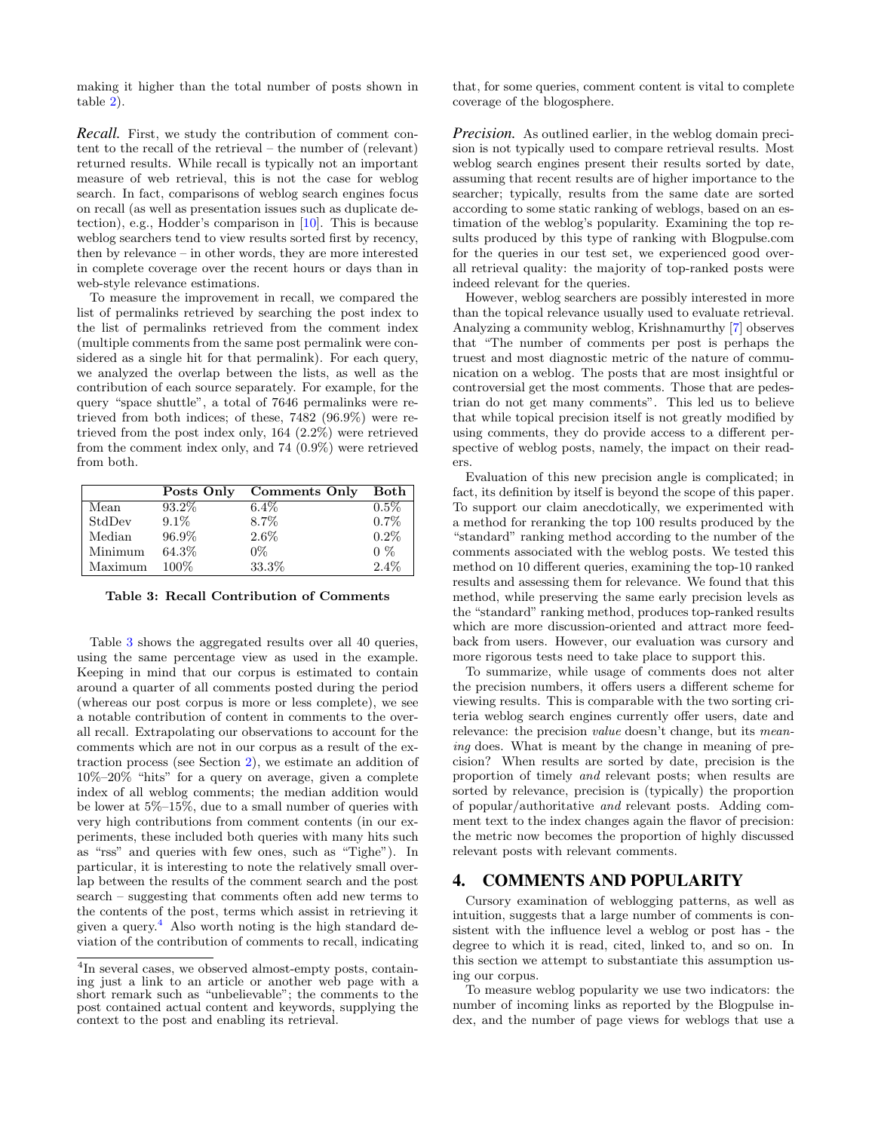making it higher than the total number of posts shown in table [2\)](#page-1-2).

*Recall.* First, we study the contribution of comment content to the recall of the retrieval – the number of (relevant) returned results. While recall is typically not an important measure of web retrieval, this is not the case for weblog search. In fact, comparisons of weblog search engines focus on recall (as well as presentation issues such as duplicate detection), e.g., Hodder's comparison in [\[10\]](#page-7-10). This is because weblog searchers tend to view results sorted first by recency, then by relevance – in other words, they are more interested in complete coverage over the recent hours or days than in web-style relevance estimations.

To measure the improvement in recall, we compared the list of permalinks retrieved by searching the post index to the list of permalinks retrieved from the comment index (multiple comments from the same post permalink were considered as a single hit for that permalink). For each query, we analyzed the overlap between the lists, as well as the contribution of each source separately. For example, for the query "space shuttle", a total of 7646 permalinks were retrieved from both indices; of these, 7482 (96.9%) were retrieved from the post index only, 164 (2.2%) were retrieved from the comment index only, and 74 (0.9%) were retrieved from both.

|         | Posts Only | <b>Comments Only</b> | Both    |
|---------|------------|----------------------|---------|
| Mean    | $93.2\%$   | $6.4\%$              | $0.5\%$ |
| StdDev  | $9.1\%$    | 8.7%                 | 0.7%    |
| Median  | 96.9%      | 2.6%                 | $0.2\%$ |
| Minimum | 64.3%      | $0\%$                | $0\%$   |
| Maximum | 100\%      | 33.3%                | $2.4\%$ |

<span id="page-3-1"></span>Table 3: Recall Contribution of Comments

Table [3](#page-3-1) shows the aggregated results over all 40 queries, using the same percentage view as used in the example. Keeping in mind that our corpus is estimated to contain around a quarter of all comments posted during the period (whereas our post corpus is more or less complete), we see a notable contribution of content in comments to the overall recall. Extrapolating our observations to account for the comments which are not in our corpus as a result of the extraction process (see Section [2\)](#page-0-0), we estimate an addition of 10%–20% "hits" for a query on average, given a complete index of all weblog comments; the median addition would be lower at 5%–15%, due to a small number of queries with very high contributions from comment contents (in our experiments, these included both queries with many hits such as "rss" and queries with few ones, such as "Tighe"). In particular, it is interesting to note the relatively small overlap between the results of the comment search and the post search – suggesting that comments often add new terms to the contents of the post, terms which assist in retrieving it given a query. $4$  Also worth noting is the high standard deviation of the contribution of comments to recall, indicating that, for some queries, comment content is vital to complete coverage of the blogosphere.

*Precision.* As outlined earlier, in the weblog domain precision is not typically used to compare retrieval results. Most weblog search engines present their results sorted by date, assuming that recent results are of higher importance to the searcher; typically, results from the same date are sorted according to some static ranking of weblogs, based on an estimation of the weblog's popularity. Examining the top results produced by this type of ranking with Blogpulse.com for the queries in our test set, we experienced good overall retrieval quality: the majority of top-ranked posts were indeed relevant for the queries.

However, weblog searchers are possibly interested in more than the topical relevance usually used to evaluate retrieval. Analyzing a community weblog, Krishnamurthy [\[7\]](#page-7-4) observes that "The number of comments per post is perhaps the truest and most diagnostic metric of the nature of communication on a weblog. The posts that are most insightful or controversial get the most comments. Those that are pedestrian do not get many comments". This led us to believe that while topical precision itself is not greatly modified by using comments, they do provide access to a different perspective of weblog posts, namely, the impact on their readers.

Evaluation of this new precision angle is complicated; in fact, its definition by itself is beyond the scope of this paper. To support our claim anecdotically, we experimented with a method for reranking the top 100 results produced by the "standard" ranking method according to the number of the comments associated with the weblog posts. We tested this method on 10 different queries, examining the top-10 ranked results and assessing them for relevance. We found that this method, while preserving the same early precision levels as the "standard" ranking method, produces top-ranked results which are more discussion-oriented and attract more feedback from users. However, our evaluation was cursory and more rigorous tests need to take place to support this.

To summarize, while usage of comments does not alter the precision numbers, it offers users a different scheme for viewing results. This is comparable with the two sorting criteria weblog search engines currently offer users, date and relevance: the precision value doesn't change, but its meaning does. What is meant by the change in meaning of precision? When results are sorted by date, precision is the proportion of timely and relevant posts; when results are sorted by relevance, precision is (typically) the proportion of popular/authoritative and relevant posts. Adding comment text to the index changes again the flavor of precision: the metric now becomes the proportion of highly discussed relevant posts with relevant comments.

# <span id="page-3-0"></span>4. COMMENTS AND POPULARITY

Cursory examination of weblogging patterns, as well as intuition, suggests that a large number of comments is consistent with the influence level a weblog or post has - the degree to which it is read, cited, linked to, and so on. In this section we attempt to substantiate this assumption using our corpus.

To measure weblog popularity we use two indicators: the number of incoming links as reported by the Blogpulse index, and the number of page views for weblogs that use a

<span id="page-3-2"></span><sup>&</sup>lt;sup>4</sup>In several cases, we observed almost-empty posts, containing just a link to an article or another web page with a short remark such as "unbelievable"; the comments to the post contained actual content and keywords, supplying the context to the post and enabling its retrieval.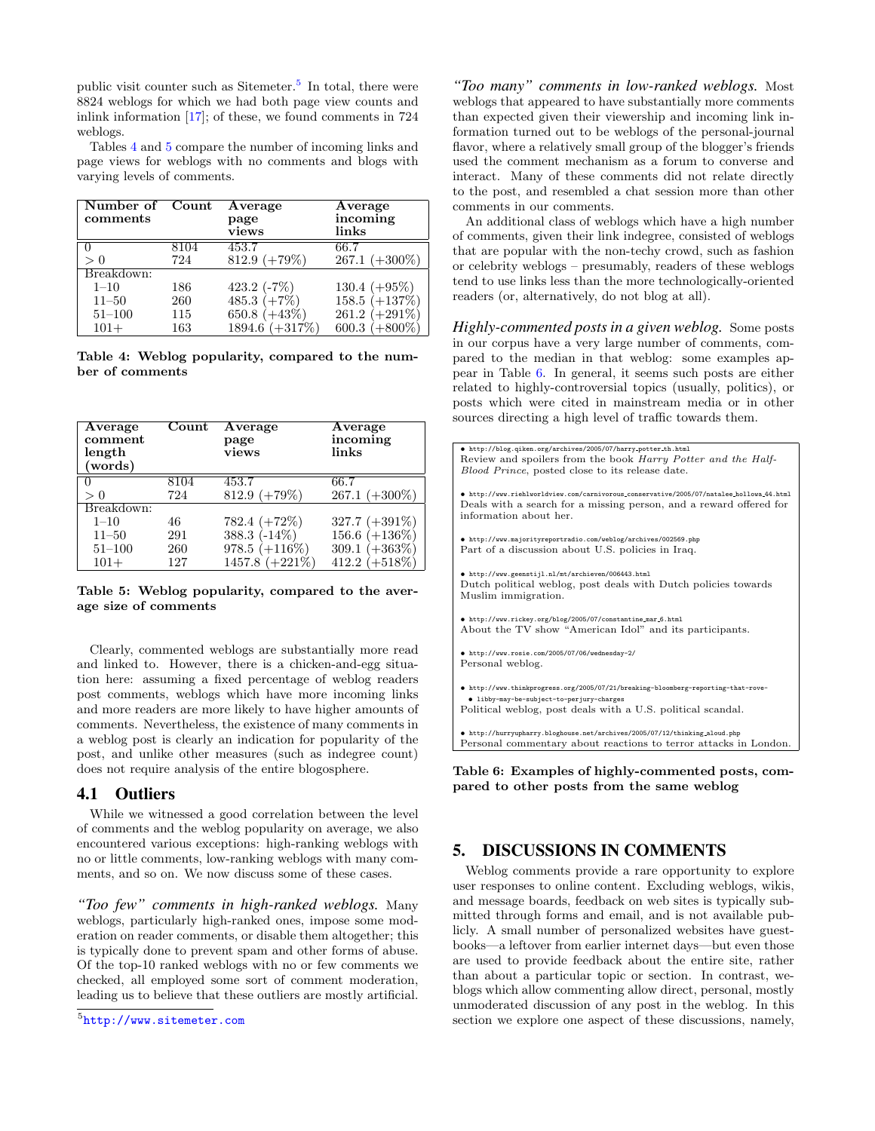public visit counter such as Sitemeter.<sup>[5](#page-4-1)</sup> In total, there were 8824 weblogs for which we had both page view counts and inlink information [\[17\]](#page-7-11); of these, we found comments in 724 weblogs.

Tables [4](#page-4-2) and [5](#page-4-3) compare the number of incoming links and page views for weblogs with no comments and blogs with varying levels of comments.

| Number of Count<br>comments |      | Average<br>page<br>views | Average<br>incoming<br>links |
|-----------------------------|------|--------------------------|------------------------------|
|                             | 8104 | 453.7                    | 66.7                         |
| > 0                         | 724  | $812.9 (+79%)$           | $267.1 (+300\%)$             |
| Breakdown:                  |      |                          |                              |
| $1 - 10$                    | 186  | 423.2 $(-7%)$            | 130.4 $(+95\%)$              |
| $11 - 50$                   | 260  | 485.3 $(+7\%)$           | 158.5 $(+137%)$              |
| $51 - 100$                  | 115  | $650.8 (+43%)$           | $261.2 (+291\%)$             |
| $101+$                      | 163  | 1894.6 (+317%)           | 600.3 $(+800\%)$             |

<span id="page-4-2"></span>Table 4: Weblog popularity, compared to the number of comments

| Average<br>comment<br>length<br>(words) | Count | Average<br>page<br>views | Average<br>incoming<br>links |
|-----------------------------------------|-------|--------------------------|------------------------------|
|                                         | 8104  | 453.7                    | 66.7                         |
| > 0                                     | 724   | $812.9 (+79%)$           | $267.1 (+300\%)$             |
| Breakdown:                              |       |                          |                              |
| $1 - 10$                                | 46    | $782.4 (+72%)$           | 327.7 $(+391\%)$             |
| $11 - 50$                               | 291   | 388.3 $(-14\%)$          | 156.6 $(+136\%)$             |
| $51 - 100$                              | 260   | $978.5 (+116%)$          | 309.1 $(+363\%)$             |
| $101+$                                  | 127   | 1457.8 $(+221\%)$        | $412.2 (+518\%)$             |

<span id="page-4-3"></span>Table 5: Weblog popularity, compared to the average size of comments

Clearly, commented weblogs are substantially more read and linked to. However, there is a chicken-and-egg situation here: assuming a fixed percentage of weblog readers post comments, weblogs which have more incoming links and more readers are more likely to have higher amounts of comments. Nevertheless, the existence of many comments in a weblog post is clearly an indication for popularity of the post, and unlike other measures (such as indegree count) does not require analysis of the entire blogosphere.

### 4.1 Outliers

While we witnessed a good correlation between the level of comments and the weblog popularity on average, we also encountered various exceptions: high-ranking weblogs with no or little comments, low-ranking weblogs with many comments, and so on. We now discuss some of these cases.

*"Too few" comments in high-ranked weblogs.* Many weblogs, particularly high-ranked ones, impose some moderation on reader comments, or disable them altogether; this is typically done to prevent spam and other forms of abuse. Of the top-10 ranked weblogs with no or few comments we checked, all employed some sort of comment moderation, leading us to believe that these outliers are mostly artificial.

*"Too many" comments in low-ranked weblogs.* Most weblogs that appeared to have substantially more comments than expected given their viewership and incoming link information turned out to be weblogs of the personal-journal flavor, where a relatively small group of the blogger's friends used the comment mechanism as a forum to converse and interact. Many of these comments did not relate directly to the post, and resembled a chat session more than other comments in our comments.

An additional class of weblogs which have a high number of comments, given their link indegree, consisted of weblogs that are popular with the non-techy crowd, such as fashion or celebrity weblogs – presumably, readers of these weblogs tend to use links less than the more technologically-oriented readers (or, alternatively, do not blog at all).

*Highly-commented posts in a given weblog.* Some posts in our corpus have a very large number of comments, compared to the median in that weblog: some examples appear in Table [6.](#page-4-4) In general, it seems such posts are either related to highly-controversial topics (usually, politics), or posts which were cited in mainstream media or in other sources directing a high level of traffic towards them.



<span id="page-4-4"></span>Table 6: Examples of highly-commented posts, compared to other posts from the same weblog

## <span id="page-4-0"></span>5. DISCUSSIONS IN COMMENTS

Weblog comments provide a rare opportunity to explore user responses to online content. Excluding weblogs, wikis, and message boards, feedback on web sites is typically submitted through forms and email, and is not available publicly. A small number of personalized websites have guestbooks—a leftover from earlier internet days—but even those are used to provide feedback about the entire site, rather than about a particular topic or section. In contrast, weblogs which allow commenting allow direct, personal, mostly unmoderated discussion of any post in the weblog. In this section we explore one aspect of these discussions, namely,

<span id="page-4-1"></span><sup>5</sup> <http://www.sitemeter.com>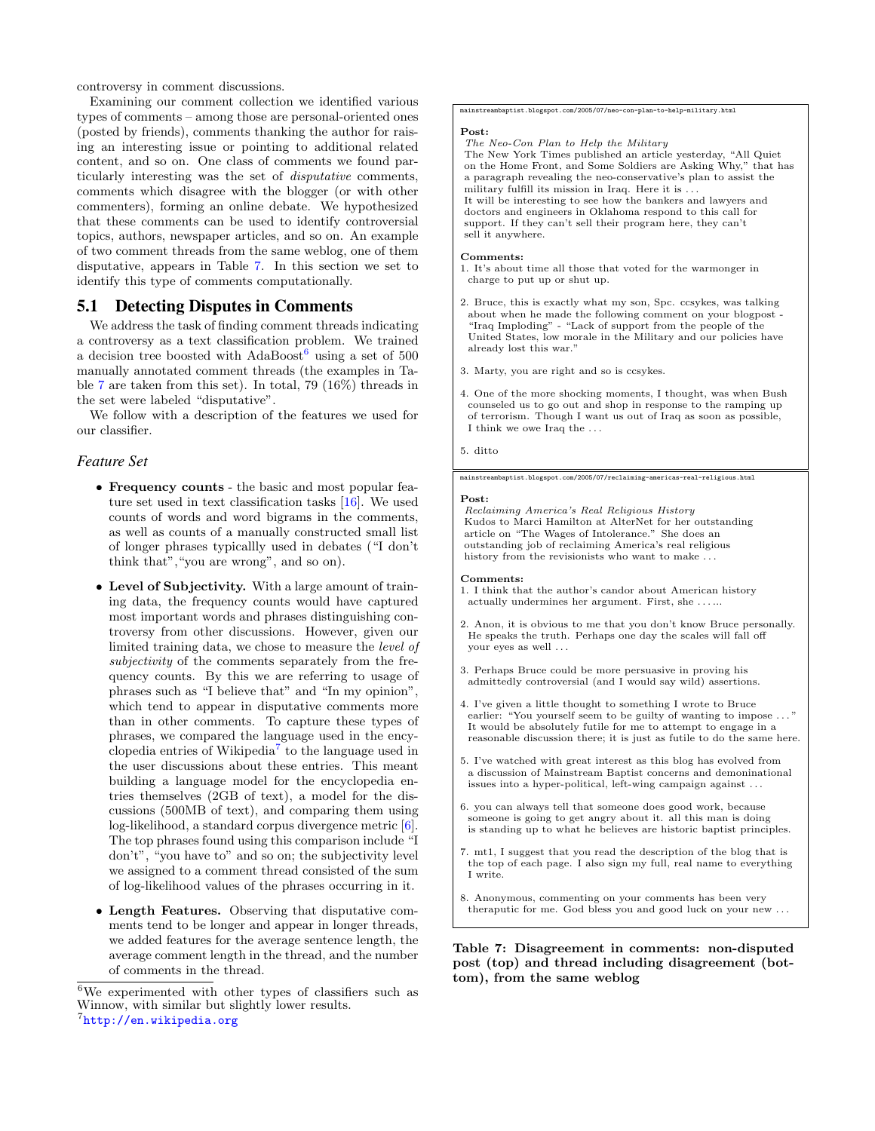controversy in comment discussions.

Examining our comment collection we identified various types of comments – among those are personal-oriented ones (posted by friends), comments thanking the author for raising an interesting issue or pointing to additional related content, and so on. One class of comments we found particularly interesting was the set of disputative comments, comments which disagree with the blogger (or with other commenters), forming an online debate. We hypothesized that these comments can be used to identify controversial topics, authors, newspaper articles, and so on. An example of two comment threads from the same weblog, one of them disputative, appears in Table [7.](#page-5-0) In this section we set to identify this type of comments computationally.

# 5.1 Detecting Disputes in Comments

We address the task of finding comment threads indicating a controversy as a text classification problem. We trained a decision tree boosted with  $AdaBoost<sup>6</sup>$  $AdaBoost<sup>6</sup>$  $AdaBoost<sup>6</sup>$  using a set of 500 manually annotated comment threads (the examples in Table [7](#page-5-0) are taken from this set). In total, 79 (16%) threads in the set were labeled "disputative".

We follow with a description of the features we used for our classifier.

#### *Feature Set*

- Frequency counts the basic and most popular feature set used in text classification tasks [\[16\]](#page-7-12). We used counts of words and word bigrams in the comments, as well as counts of a manually constructed small list of longer phrases typicallly used in debates ("I don't think that","you are wrong", and so on).
- Level of Subjectivity. With a large amount of training data, the frequency counts would have captured most important words and phrases distinguishing controversy from other discussions. However, given our limited training data, we chose to measure the level of subjectivity of the comments separately from the frequency counts. By this we are referring to usage of phrases such as "I believe that" and "In my opinion", which tend to appear in disputative comments more than in other comments. To capture these types of phrases, we compared the language used in the encyclopedia entries of Wikipedia[7](#page-5-2) to the language used in the user discussions about these entries. This meant building a language model for the encyclopedia entries themselves (2GB of text), a model for the discussions (500MB of text), and comparing them using log-likelihood, a standard corpus divergence metric [\[6\]](#page-7-13). The top phrases found using this comparison include "I don't", "you have to" and so on; the subjectivity level we assigned to a comment thread consisted of the sum of log-likelihood values of the phrases occurring in it.
- Length Features. Observing that disputative comments tend to be longer and appear in longer threads, we added features for the average sentence length, the average comment length in the thread, and the number of comments in the thread.

mainstreambaptist.blogspot.com/2005/07/neo-con-plan-to-help-military.html

#### Post:

The Neo-Con Plan to Help the Military

The New York Times published an article yesterday, "All Quiet on the Home Front, and Some Soldiers are Asking Why," that has a paragraph revealing the neo-conservative's plan to assist the military fulfill its mission in Iraq. Here it is . . . It will be interesting to see how the bankers and lawyers and doctors and engineers in Oklahoma respond to this call for

support. If they can't sell their program here, they can't sell it anywhere.

#### Comments:

1. It's about time all those that voted for the warmonger in charge to put up or shut up.

- 2. Bruce, this is exactly what my son, Spc. ccsykes, was talking about when he made the following comment on your blogpost "Iraq Imploding" - "Lack of support from the people of the United States, low morale in the Military and our policies have already lost this war."
- 3. Marty, you are right and so is ccsykes.
- 4. One of the more shocking moments, I thought, was when Bush counseled us to go out and shop in response to the ramping up of terrorism. Though I want us out of Iraq as soon as possible, I think we owe Iraq the . . .
- 5. ditto

#### mainstreambaptist.blogspot.com/2005/07/reclaiming-americas-real-religious.html

#### Post:

Reclaiming America's Real Religious History Kudos to Marci Hamilton at AlterNet for her outstanding article on "The Wages of Intolerance." She does an outstanding job of reclaiming America's real religious history from the revisionists who want to make . . .

#### Comments:

- 1. I think that the author's candor about American history actually undermines her argument. First, she . . . ...
- 2. Anon, it is obvious to me that you don't know Bruce personally. He speaks the truth. Perhaps one day the scales will fall off your eyes as well . . .
- 3. Perhaps Bruce could be more persuasive in proving his admittedly controversial (and I would say wild) assertions.
- 4. I've given a little thought to something I wrote to Bruce earlier: "You yourself seem to be guilty of wanting to impose . It would be absolutely futile for me to attempt to engage in a reasonable discussion there; it is just as futile to do the same here.
- 5. I've watched with great interest as this blog has evolved from a discussion of Mainstream Baptist concerns and demoninational issues into a hyper-political, left-wing campaign against . . .
- 6. you can always tell that someone does good work, because someone is going to get angry about it. all this man is doing is standing up to what he believes are historic baptist principles.
- 7. mt1, I suggest that you read the description of the blog that is the top of each page. I also sign my full, real name to everything I write.
- 8. Anonymous, commenting on your comments has been very theraputic for me. God bless you and good luck on your new . . .

<span id="page-5-0"></span>Table 7: Disagreement in comments: non-disputed post (top) and thread including disagreement (bottom), from the same weblog

<span id="page-5-2"></span><span id="page-5-1"></span><sup>6</sup>We experimented with other types of classifiers such as Winnow, with similar but slightly lower results. 7 <http://en.wikipedia.org>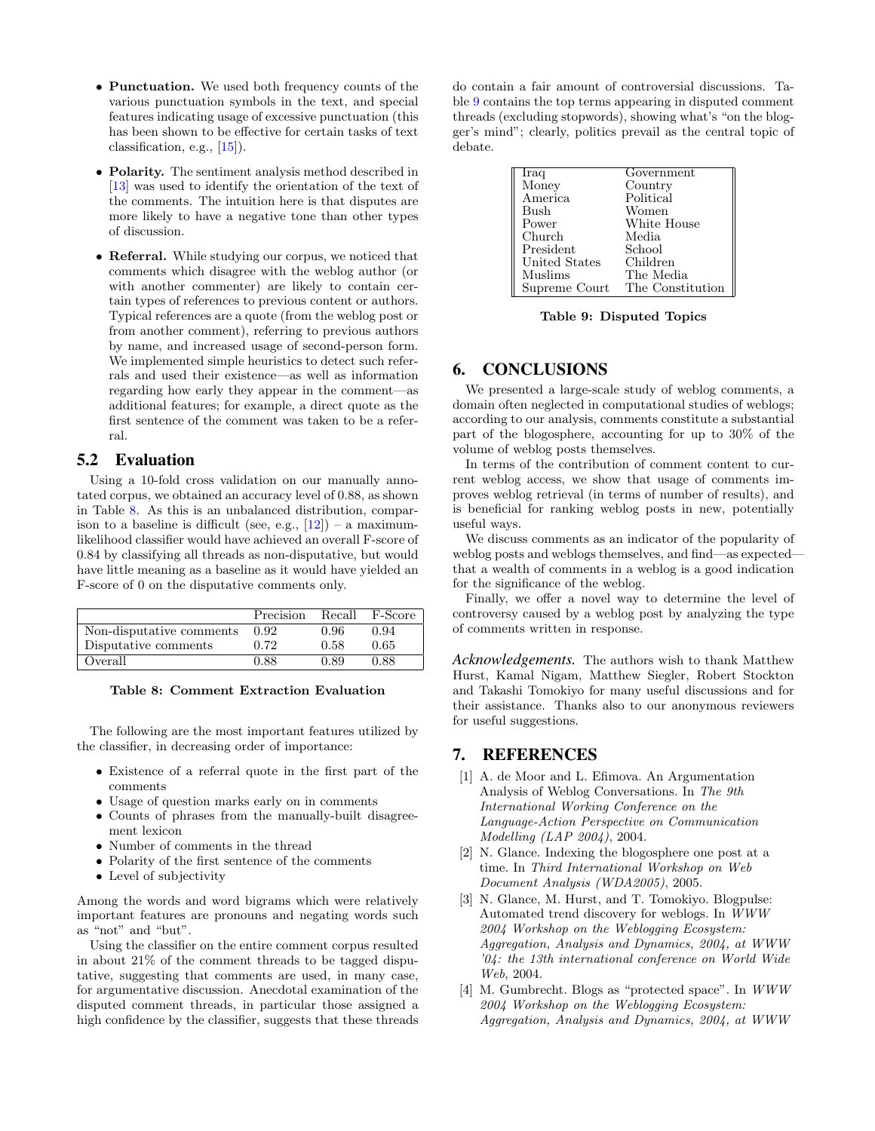- Punctuation. We used both frequency counts of the various punctuation symbols in the text, and special features indicating usage of excessive punctuation (this has been shown to be effective for certain tasks of text classification, e.g., [\[15\]](#page-7-14)).
- Polarity. The sentiment analysis method described in [\[13\]](#page-7-15) was used to identify the orientation of the text of the comments. The intuition here is that disputes are more likely to have a negative tone than other types of discussion.
- Referral. While studying our corpus, we noticed that comments which disagree with the weblog author (or with another commenter) are likely to contain certain types of references to previous content or authors. Typical references are a quote (from the weblog post or from another comment), referring to previous authors by name, and increased usage of second-person form. We implemented simple heuristics to detect such referrals and used their existence—as well as information regarding how early they appear in the comment—as additional features; for example, a direct quote as the first sentence of the comment was taken to be a referral.

# 5.2 Evaluation

Using a 10-fold cross validation on our manually annotated corpus, we obtained an accuracy level of 0.88, as shown in Table [8.](#page-6-5) As this is an unbalanced distribution, comparison to a baseline is difficult (see, e.g.,  $[12]$ ) – a maximumlikelihood classifier would have achieved an overall F-score of 0.84 by classifying all threads as non-disputative, but would have little meaning as a baseline as it would have yielded an F-score of 0 on the disputative comments only.

|                          | Precision | Recall | F-Score |
|--------------------------|-----------|--------|---------|
| Non-disputative comments | 0.92      | 0.96   | 0.94    |
| Disputative comments     | 0.72      | 0.58   | 0.65    |
| Overall                  | 0.88      | 0.89   | 0.88    |

<span id="page-6-5"></span>Table 8: Comment Extraction Evaluation

The following are the most important features utilized by the classifier, in decreasing order of importance:

- Existence of a referral quote in the first part of the comments
- Usage of question marks early on in comments
- Counts of phrases from the manually-built disagreement lexicon
- Number of comments in the thread
- Polarity of the first sentence of the comments
- Level of subjectivity

Among the words and word bigrams which were relatively important features are pronouns and negating words such as "not" and "but".

Using the classifier on the entire comment corpus resulted in about 21% of the comment threads to be tagged disputative, suggesting that comments are used, in many case, for argumentative discussion. Anecdotal examination of the disputed comment threads, in particular those assigned a high confidence by the classifier, suggests that these threads do contain a fair amount of controversial discussions. Table [9](#page-6-6) contains the top terms appearing in disputed comment threads (excluding stopwords), showing what's "on the blogger's mind"; clearly, politics prevail as the central topic of debate.

| Iraq          | Government       |
|---------------|------------------|
| Money         | Country          |
| America       | Political        |
| Bush          | Women            |
| Power         | White House      |
| Church        | Media            |
| President     | School           |
| United States | Children         |
| Muslims       | The Media        |
| Supreme Court | The Constitution |

<span id="page-6-6"></span>Table 9: Disputed Topics

# <span id="page-6-1"></span>6. CONCLUSIONS

We presented a large-scale study of weblog comments, a domain often neglected in computational studies of weblogs; according to our analysis, comments constitute a substantial part of the blogosphere, accounting for up to 30% of the volume of weblog posts themselves.

In terms of the contribution of comment content to current weblog access, we show that usage of comments improves weblog retrieval (in terms of number of results), and is beneficial for ranking weblog posts in new, potentially useful ways.

We discuss comments as an indicator of the popularity of weblog posts and weblogs themselves, and find—as expected that a wealth of comments in a weblog is a good indication for the significance of the weblog.

Finally, we offer a novel way to determine the level of controversy caused by a weblog post by analyzing the type of comments written in response.

*Acknowledgements.* The authors wish to thank Matthew Hurst, Kamal Nigam, Matthew Siegler, Robert Stockton and Takashi Tomokiyo for many useful discussions and for their assistance. Thanks also to our anonymous reviewers for useful suggestions.

# 7. REFERENCES

- <span id="page-6-2"></span>[1] A. de Moor and L. Efimova. An Argumentation Analysis of Weblog Conversations. In The 9th International Working Conference on the Language-Action Perspective on Communication Modelling (LAP 2004), 2004.
- <span id="page-6-3"></span>[2] N. Glance. Indexing the blogosphere one post at a time. In Third International Workshop on Web Document Analysis (WDA2005), 2005.
- <span id="page-6-4"></span>[3] N. Glance, M. Hurst, and T. Tomokiyo. Blogpulse: Automated trend discovery for weblogs. In WWW 2004 Workshop on the Weblogging Ecosystem: Aggregation, Analysis and Dynamics, 2004, at WWW '04: the 13th international conference on World Wide Web, 2004.
- <span id="page-6-0"></span>[4] M. Gumbrecht. Blogs as "protected space". In WWW 2004 Workshop on the Weblogging Ecosystem: Aggregation, Analysis and Dynamics, 2004, at WWW